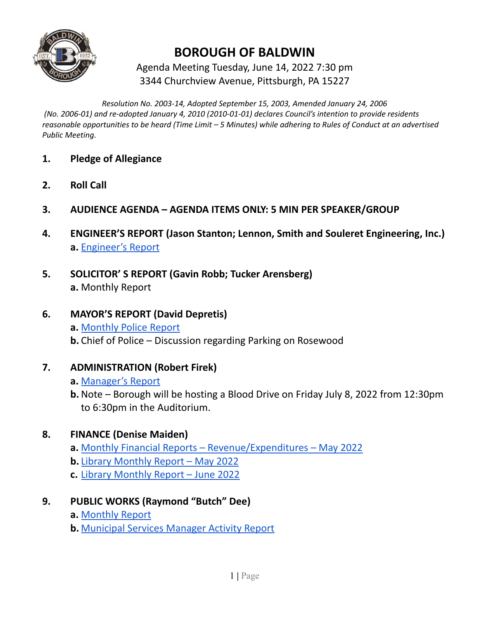

# **BOROUGH OF BALDWIN**

## Agenda Meeting Tuesday, June 14, 2022 7:30 pm 3344 Churchview Avenue, Pittsburgh, PA 15227

*Resolution No. 2003-14, Adopted September 15, 2003, Amended January 24, 2006 (No. 2006-01) and re-adopted January 4, 2010 (2010-01-01) declares Council's intention to provide residents* reasonable opportunities to be heard (Time Limit - 5 Minutes) while adhering to Rules of Conduct at an advertised *Public Meeting.*

- **1. Pledge of Allegiance**
- **2. Roll Call**
- **3. AUDIENCE AGENDA – AGENDA ITEMS ONLY: 5 MIN PER SPEAKER/GROUP**
- **4. ENGINEER'S REPORT (Jason Stanton; Lennon, Smith and Souleret Engineering, Inc.) a.** Engineer's Report
- **5. SOLICITOR' S REPORT (Gavin Robb; Tucker Arensberg) a.** Monthly Report
- **6. MAYOR'S REPORT (David Depretis) a.** Monthly Police Report **b.** Chief of Police – Discussion regarding Parking on Rosewood

#### **7. ADMINISTRATION (Robert Firek)**

- **a.** Manager's Report
- **b.**Note Borough will be hosting a Blood Drive on Friday July 8, 2022 from 12:30pm to 6:30pm in the Auditorium.

#### **8. FINANCE (Denise Maiden)**

- **a.** Monthly Financial Reports Revenue/Expenditures May 2022
- **b.** Library Monthly Report May 2022
- **c.** Library Monthly Report June 2022

### **9. PUBLIC WORKS (Raymond "Butch" Dee)**

- **a.** Monthly Report
- **b.** Municipal Services Manager Activity Report